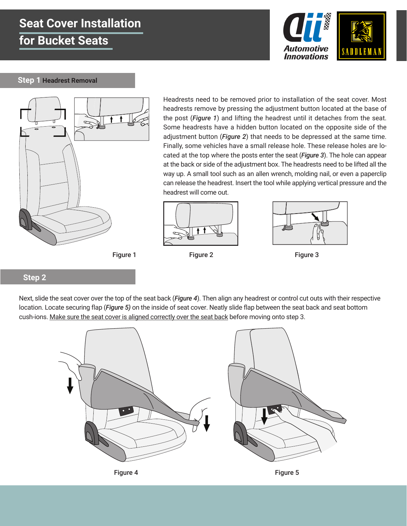

#### **Step 1 Headrest Removal**



Headrests need to be removed prior to installation of the seat cover. Most headrests remove by pressing the adjustment button located at the base of the post (*Figure 1*) and lifting the headrest until it detaches from the seat. Some headrests have a hidden button located on the opposite side of the adjustment button (*Figure 2*) that needs to be depressed at the same time. Finally, some vehicles have a small release hole. These release holes are located at the top where the posts enter the seat (*Figure 3*). The hole can appear at the back or side of the adjustment box. The headrests need to be lifted all the way up. A small tool such as an allen wrench, molding nail, or even a paperclip can release the headrest. Insert the tool while applying vertical pressure and the headrest will come out.





### **Step 2**

Next, slide the seat cover over the top of the seat back (*Figure 4*). Then align any headrest or control cut outs with their respective location. Locate securing flap (*Figure 5)* on the inside of seat cover. Neatly slide flap between the seat back and seat bottom cush-ions. [Make sure the seat cover is aligned](https://www.carid.com/seat-covers.html) correctly over the seat back before moving onto step 3.

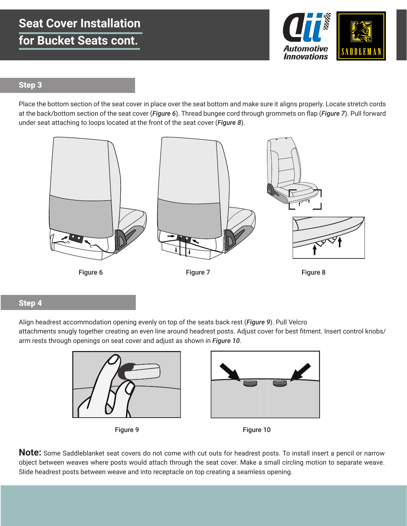

#### Step 3

Place the bottom section of the seat cover in place over the seat bottom and make sure it aligns properly. Locate stretch cords at the back/bottom section of the seat cover (*Figure 6*). Thread bungee cord through grommets on flap (*Figure 7*). Pull forward under seat attaching to loops located at the front of the seat cover (*Figure 8*).



### Step 4

Align headrest accommodation opening evenly on top of the seats back rest (*Figure 9*). Pull Velcro

attachments snugly together creating an even line around headrest posts. Adjust cover for best fitment. Insert control knobs/ arm rests through openings on seat cover and adjust as shown in *Figure 10*.







**Note:** Some Saddleblanket seat covers do not come with cut outs for headrest posts. To install insert a pencil or narrow object between weaves where posts would attach through the seat cover. Make a small circling motion to separate weave. Slide headrest posts between weave and into receptacle on top creating a seamless opening.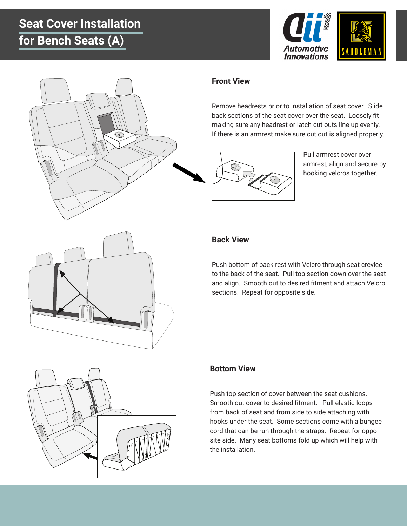# **Seat Cover Installation for Bench Seats (A)**





### **Front View**

Remove headrests prior to installation of seat cover. Slide back sections of the seat cover over the seat. Loosely fit making sure any headrest or latch cut outs line up evenly. If there is an armrest make sure cut out is aligned properly.



Pull armrest cover over armrest, align and secure by hooking velcros together.

### **Back View**

Push bottom of back rest with Velcro through seat crevice to the back of the seat. Pull top section down over the seat and align. Smooth out to desired fitment and attach Velcro sections. Repeat for opposite side.



#### **Bottom View**

Push top section of cover between the seat cushions. Smooth out cover to desired fitment. Pull elastic loops from back of seat and from side to side attaching with hooks under the seat. Some sections come with a bungee cord that can be run through the straps. Repeat for opposite side. Many seat bottoms fold up which will help with the installation.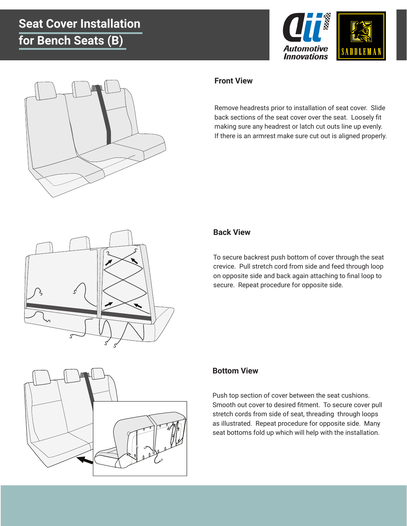# **Seat Cover Installation for Bench Seats (B)**





### **Front View**

Remove headrests prior to installation of seat cover. Slide back sections of the seat cover over the seat. Loosely fit making sure any headrest or latch cut outs line up evenly. If there is an armrest make sure cut out is aligned properly.



#### **Back View**

To secure backrest push bottom of cover through the seat crevice. Pull stretch cord from side and feed through loop on opposite side and back again attaching to final loop to secure. Repeat procedure for opposite side.



#### **Bottom View**

Push top section of cover between the seat cushions. Smooth out cover to desired fitment. To secure cover pull stretch cords from side of seat, threading through loops as illustrated. Repeat procedure for opposite side. Many seat bottoms fold up which will help with the installation.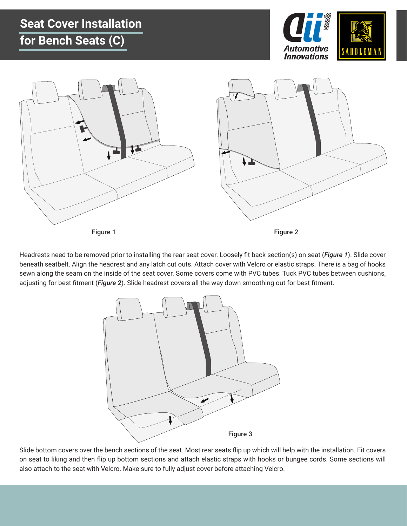# **Seat Cover Installation for Bench Seats (C)**





Headrests need to be removed prior to installing the rear seat cover. Loosely fit back section(s) on seat (*Figure 1*). Slide cover beneath seatbelt. Align the headrest and any latch cut outs. Attach cover with Velcro or elastic straps. There is a bag of hooks sewn along the seam on the inside of the seat cover. Some covers come with PVC tubes. Tuck PVC tubes between cushions, adjusting for best fitment (*Figure 2*). Slide headrest covers all the way down smoothing out for best fitment.



Slide bottom covers over the bench sections of the seat. Most rear seats flip up which will help with the installation. Fit covers on seat to liking and then flip up bottom sections and attach elastic straps with hooks or bungee cords. Some sections will also attach to the seat with Velcro. Make sure to fully adjust cover before attaching Velcro.